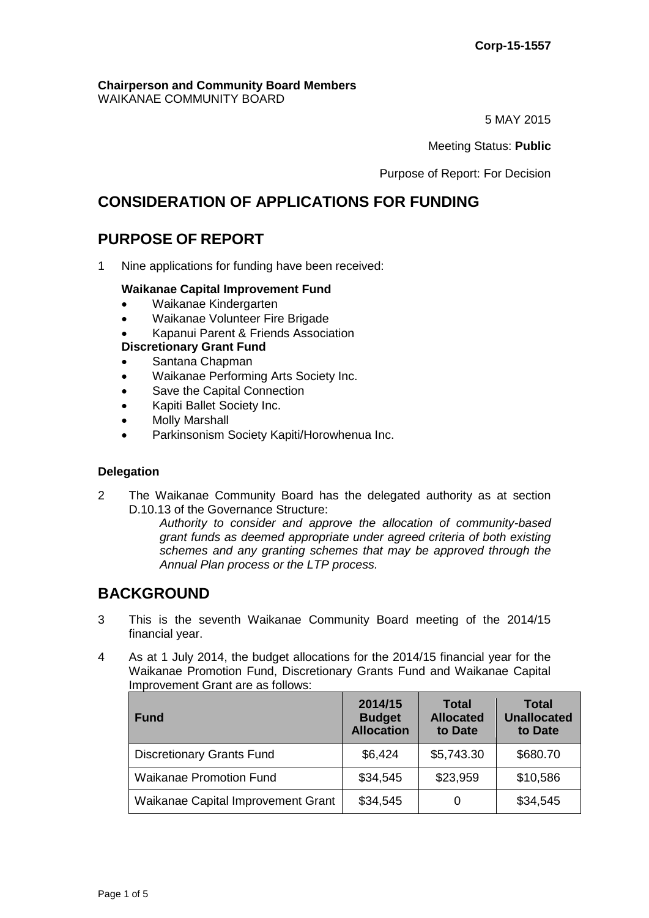#### **Chairperson and Community Board Members** WAIKANAE COMMUNITY BOARD

5 MAY 2015

Meeting Status: **Public**

Purpose of Report: For Decision

# **CONSIDERATION OF APPLICATIONS FOR FUNDING**

# **PURPOSE OF REPORT**

1 Nine applications for funding have been received:

# **Waikanae Capital Improvement Fund**

- Waikanae Kindergarten
- Waikanae Volunteer Fire Brigade
- Kapanui Parent & Friends Association
- **Discretionary Grant Fund**
- Santana Chapman
- Waikanae Performing Arts Society Inc.
- Save the Capital Connection
- Kapiti Ballet Society Inc.
- Molly Marshall
- Parkinsonism Society Kapiti/Horowhenua Inc.

# **Delegation**

2 The Waikanae Community Board has the delegated authority as at section D.10.13 of the Governance Structure:

*Authority to consider and approve the allocation of community-based grant funds as deemed appropriate under agreed criteria of both existing schemes and any granting schemes that may be approved through the Annual Plan process or the LTP process.* 

# **BACKGROUND**

- 3 This is the seventh Waikanae Community Board meeting of the 2014/15 financial year.
- 4 As at 1 July 2014, the budget allocations for the 2014/15 financial year for the Waikanae Promotion Fund, Discretionary Grants Fund and Waikanae Capital Improvement Grant are as follows:

| <b>Fund</b>                        | 2014/15<br><b>Budget</b><br><b>Allocation</b> | <b>Total</b><br><b>Allocated</b><br>to Date | <b>Total</b><br><b>Unallocated</b><br>to Date |
|------------------------------------|-----------------------------------------------|---------------------------------------------|-----------------------------------------------|
| <b>Discretionary Grants Fund</b>   | \$6,424                                       | \$5,743.30                                  | \$680.70                                      |
| <b>Waikanae Promotion Fund</b>     | \$34,545                                      | \$23,959                                    | \$10,586                                      |
| Waikanae Capital Improvement Grant | \$34,545                                      | 0                                           | \$34,545                                      |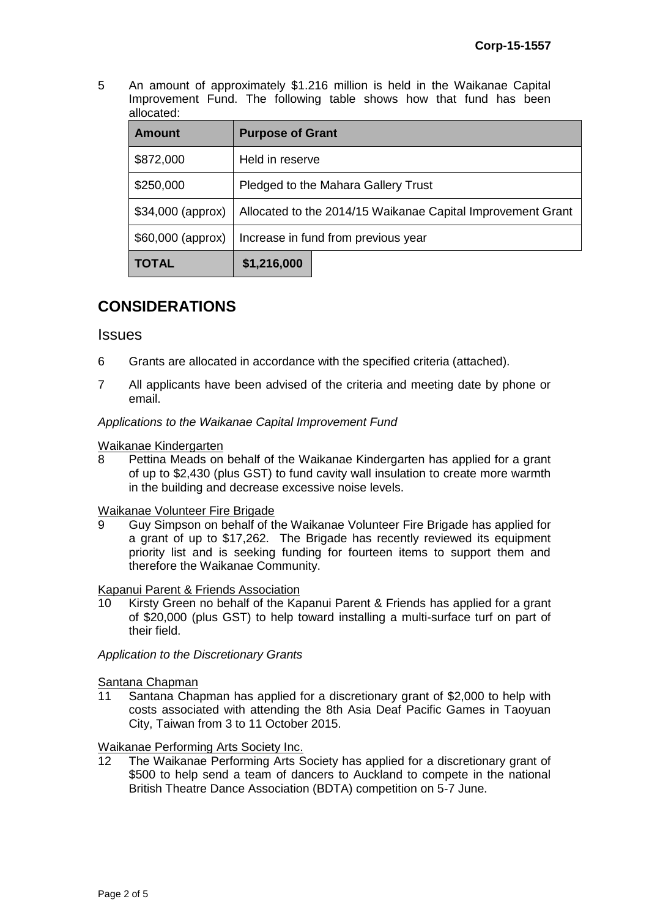5 An amount of approximately \$1.216 million is held in the Waikanae Capital Improvement Fund. The following table shows how that fund has been allocated:

| <b>Amount</b>     | <b>Purpose of Grant</b>                                     |  |  |
|-------------------|-------------------------------------------------------------|--|--|
| \$872,000         | Held in reserve                                             |  |  |
| \$250,000         | Pledged to the Mahara Gallery Trust                         |  |  |
| \$34,000 (approx) | Allocated to the 2014/15 Waikanae Capital Improvement Grant |  |  |
| \$60,000 (approx) | Increase in fund from previous year                         |  |  |
| <b>TOTAL</b>      | \$1,216,000                                                 |  |  |

# **CONSIDERATIONS**

# **Issues**

- 6 Grants are allocated in accordance with the specified criteria (attached).
- 7 All applicants have been advised of the criteria and meeting date by phone or email.

*Applications to the Waikanae Capital Improvement Fund*

# Waikanae Kindergarten<br>8 Pettina Meads on

8 Pettina Meads on behalf of the Waikanae Kindergarten has applied for a grant of up to \$2,430 (plus GST) to fund cavity wall insulation to create more warmth in the building and decrease excessive noise levels.

## Waikanae Volunteer Fire Brigade

9 Guy Simpson on behalf of the Waikanae Volunteer Fire Brigade has applied for a grant of up to \$17,262. The Brigade has recently reviewed its equipment priority list and is seeking funding for fourteen items to support them and therefore the Waikanae Community.

Kapanui Parent & Friends Association

10 Kirsty Green no behalf of the Kapanui Parent & Friends has applied for a grant of \$20,000 (plus GST) to help toward installing a multi-surface turf on part of their field.

*Application to the Discretionary Grants*

Santana Chapman

11 Santana Chapman has applied for a discretionary grant of \$2,000 to help with costs associated with attending the 8th Asia Deaf Pacific Games in Taoyuan City, Taiwan from 3 to 11 October 2015.

Waikanae Performing Arts Society Inc.

12 The Waikanae Performing Arts Society has applied for a discretionary grant of \$500 to help send a team of dancers to Auckland to compete in the national British Theatre Dance Association (BDTA) competition on 5-7 June.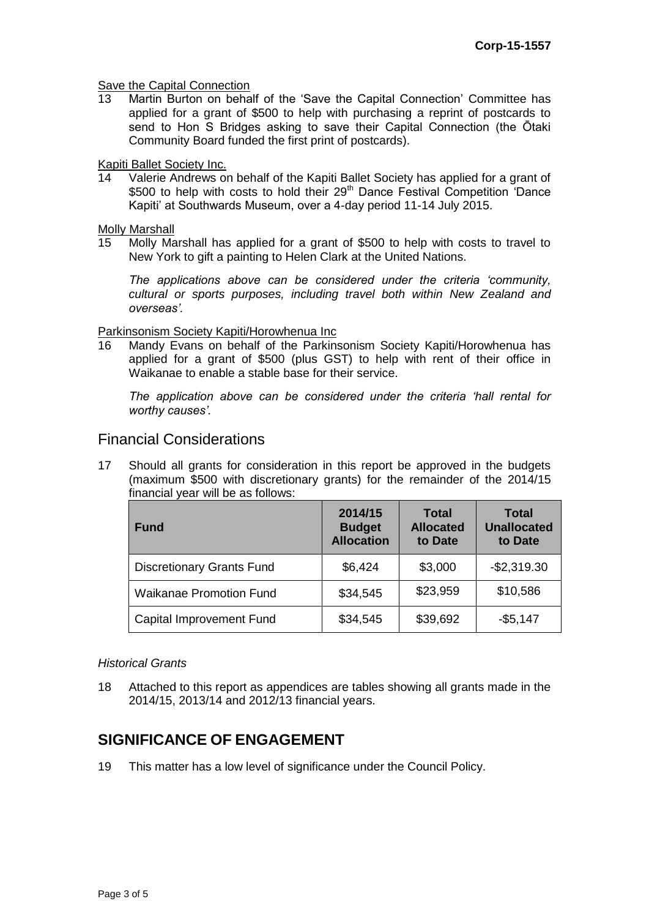#### **Save the Capital Connection**

13 Martin Burton on behalf of the 'Save the Capital Connection' Committee has applied for a grant of \$500 to help with purchasing a reprint of postcards to send to Hon S Bridges asking to save their Capital Connection (the Ōtaki Community Board funded the first print of postcards).

#### Kapiti Ballet Society Inc.

14 Valerie Andrews on behalf of the Kapiti Ballet Society has applied for a grant of \$500 to help with costs to hold their  $29<sup>th</sup>$  Dance Festival Competition 'Dance Kapiti' at Southwards Museum, over a 4-day period 11-14 July 2015.

Molly Marshall

15 Molly Marshall has applied for a grant of \$500 to help with costs to travel to New York to gift a painting to Helen Clark at the United Nations.

*The applications above can be considered under the criteria 'community, cultural or sports purposes, including travel both within New Zealand and overseas'.*

#### Parkinsonism Society Kapiti/Horowhenua Inc

16 Mandy Evans on behalf of the Parkinsonism Society Kapiti/Horowhenua has applied for a grant of \$500 (plus GST) to help with rent of their office in Waikanae to enable a stable base for their service.

*The application above can be considered under the criteria 'hall rental for worthy causes'.*

# Financial Considerations

17 Should all grants for consideration in this report be approved in the budgets (maximum \$500 with discretionary grants) for the remainder of the 2014/15 financial year will be as follows:

| <b>Fund</b>                      | 2014/15<br><b>Budget</b><br><b>Allocation</b> | <b>Total</b><br><b>Allocated</b><br>to Date | <b>Total</b><br><b>Unallocated</b><br>to Date |
|----------------------------------|-----------------------------------------------|---------------------------------------------|-----------------------------------------------|
| <b>Discretionary Grants Fund</b> | \$6,424                                       | \$3,000                                     | $-$2,319.30$                                  |
| <b>Waikanae Promotion Fund</b>   | \$34,545                                      | \$23,959                                    | \$10,586                                      |
| Capital Improvement Fund         | \$34,545                                      | \$39,692                                    | $-$5,147$                                     |

## *Historical Grants*

18 Attached to this report as appendices are tables showing all grants made in the 2014/15, 2013/14 and 2012/13 financial years.

# **SIGNIFICANCE OF ENGAGEMENT**

19 This matter has a low level of significance under the Council Policy.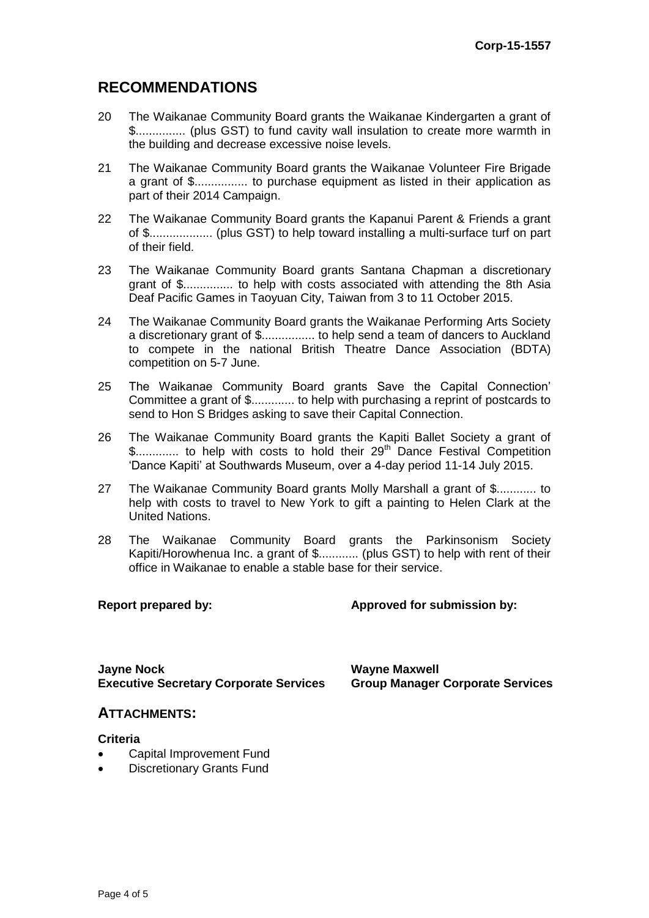# **RECOMMENDATIONS**

- 20 The Waikanae Community Board grants the Waikanae Kindergarten a grant of \$............... (plus GST) to fund cavity wall insulation to create more warmth in the building and decrease excessive noise levels.
- 21 The Waikanae Community Board grants the Waikanae Volunteer Fire Brigade a grant of \$................ to purchase equipment as listed in their application as part of their 2014 Campaign.
- 22 The Waikanae Community Board grants the Kapanui Parent & Friends a grant of \$................... (plus GST) to help toward installing a multi-surface turf on part of their field.
- 23 The Waikanae Community Board grants Santana Chapman a discretionary grant of \$............... to help with costs associated with attending the 8th Asia Deaf Pacific Games in Taoyuan City, Taiwan from 3 to 11 October 2015.
- 24 The Waikanae Community Board grants the Waikanae Performing Arts Society a discretionary grant of \$................ to help send a team of dancers to Auckland to compete in the national British Theatre Dance Association (BDTA) competition on 5-7 June.
- 25 The Waikanae Community Board grants Save the Capital Connection' Committee a grant of \$............. to help with purchasing a reprint of postcards to send to Hon S Bridges asking to save their Capital Connection.
- 26 The Waikanae Community Board grants the Kapiti Ballet Society a grant of \$.............. to help with costs to hold their 29<sup>th</sup> Dance Festival Competition 'Dance Kapiti' at Southwards Museum, over a 4-day period 11-14 July 2015.
- 27 The Waikanae Community Board grants Molly Marshall a grant of \$............ to help with costs to travel to New York to gift a painting to Helen Clark at the United Nations.
- 28 The Waikanae Community Board grants the Parkinsonism Society Kapiti/Horowhenua Inc. a grant of \$............ (plus GST) to help with rent of their office in Waikanae to enable a stable base for their service.

## **Report prepared by: Approved for submission by:**

**Jayne Nock Wayne Maxwell Executive Secretary Corporate Services Group Manager Corporate Services**

# **ATTACHMENTS:**

## **Criteria**

- Capital Improvement Fund
- Discretionary Grants Fund